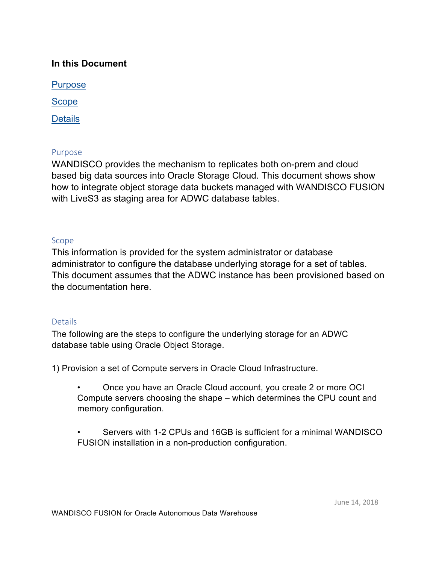# **In this Document**

**Purpose** 

Scope

**Details** 

# Purpose

 WANDISCO provides the mechanism to replicates both on-prem and cloud with LiveS3 as staging area for ADWC database tables. based big data sources into Oracle Storage Cloud. This document shows show how to integrate object storage data buckets managed with WANDISCO FUSION

# Scope

 This information is provided for the system administrator or database administrator to configure the database underlying storage for a set of tables. This document assumes that the ADWC instance has been provisioned based on the documentation here.

### **Details**

The following are the steps to configure the underlying storage for an ADWC database table using Oracle Object Storage.

1) Provision a set of Compute servers in Oracle Cloud Infrastructure.

• Once you have an Oracle Cloud account, you create 2 or more OCI Compute servers choosing the shape – which determines the CPU count and memory configuration.

• Servers with 1-2 CPUs and 16GB is sufficient for a minimal WANDISCO FUSION installation in a non-production configuration.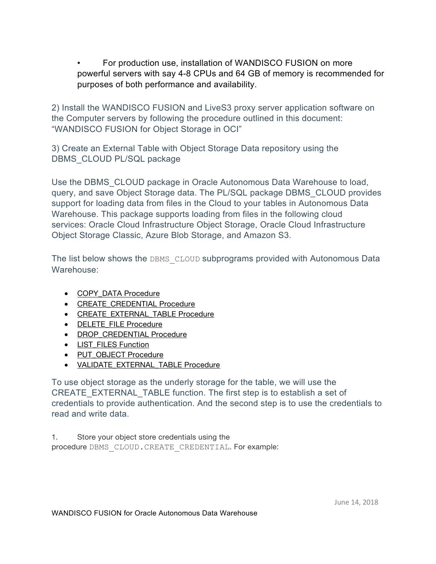For production use, installation of WANDISCO FUSION on more powerful servers with say 4-8 CPUs and 64 GB of memory is recommended for purposes of both performance and availability.

2) Install the WANDISCO FUSION and LiveS3 proxy server application software on the Computer servers by following the procedure outlined in this document: "WANDISCO FUSION for Object Storage in OCI"

3) Create an External Table with Object Storage Data repository using the DBMS CLOUD PL/SQL package

 Use the DBMS\_CLOUD package in Oracle Autonomous Data Warehouse to load, query, and save Object Storage data. The PL/SQL package DBMS\_CLOUD provides support for loading data from files in the Cloud to your tables in Autonomous Data Warehouse. This package supports loading from files in the following cloud services: Oracle Cloud Infrastructure Object Storage, Oracle Cloud Infrastructure Object Storage Classic, Azure Blob Storage, and Amazon S3.

The list below shows the DBMS CLOUD subprograms provided with Autonomous Data Warehouse:

- COPY\_DATA Procedure
- CREATE CREDENTIAL Procedure
- CREATE\_EXTERNAL\_TABLE Procedure
- DELETE\_FILE Procedure
- DROP\_CREDENTIAL Procedure
- LIST\_FILES Function
- PUT\_OBJECT Procedure
- VALIDATE\_EXTERNAL\_TABLE Procedure

To use object storage as the underly storage for the table, we will use the CREATE\_EXTERNAL\_TABLE function. The first step is to establish a set of credentials to provide authentication. And the second step is to use the credentials to read and write data.

 1. Store your object store credentials using the procedure DBMS\_CLOUD.CREATE\_CREDENTIAL. For example: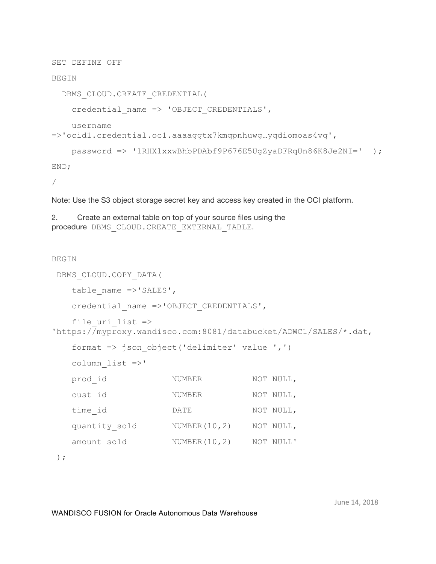SET DEFINE OFF

### BEGIN

DBMS\_CLOUD.CREATE\_CREDENTIAL(

credential\_name => 'OBJECT\_CREDENTIALS',

username

=>'ocid1.credential.oc1.aaaaggtx7kmqpnhuwg…yqdiomoas4vq',

```
password => '1RHXlxxwBhbPDAbf9P676E5UgZyaDFRqUn86K8Je2NI=' );
```
END;

/

Note: Use the S3 object storage secret key and access key created in the OCI platform.

 2. Create an external table on top of your source files using the procedure DBMS\_CLOUD.CREATE\_EXTERNAL\_TABLE.

#### BEGIN

```
DBMS_CLOUD.COPY_DATA( 
   table name =>'SALES',
   credential_name =>'OBJECT_CREDENTIALS', 
   file uri list \Rightarrow'https://myproxy.wandisco.com:8081/databucket/ADWC1/SALES/*.dat, 
   format => json object('delimiter' value ',')
   column_list =>' 
   prod_id 
   cust_id 
NUMBER 
NOT NULL, 
                      NUMBER 
NOT NULL, 
   time_id DATE NOT NULL, 
   quantity_sold 
NUMBER(10,2) 
NOT NULL, 
   amount_sold 
                      NUMBER(10,2) 
NOT NULL'
```
);